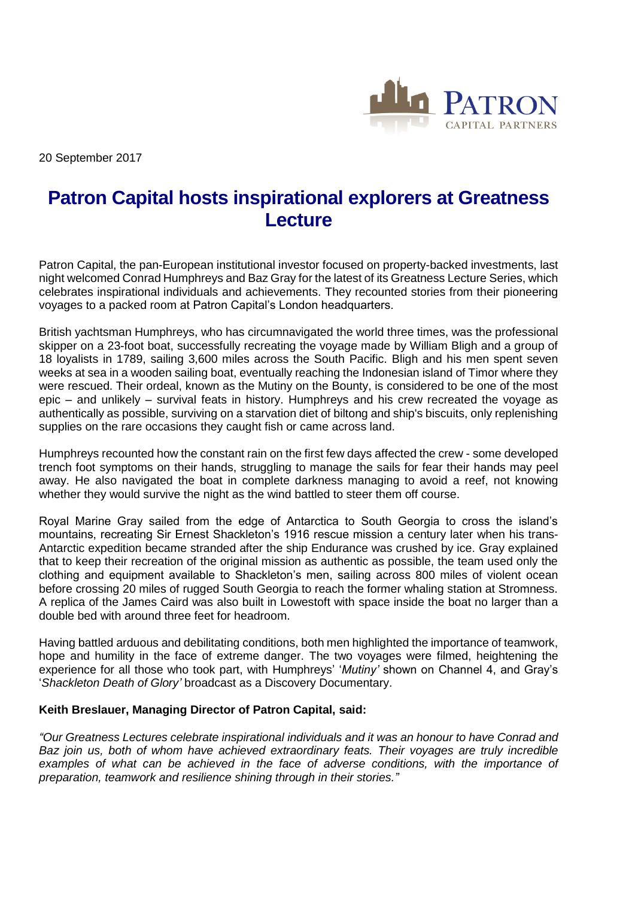

20 September 2017

# **Patron Capital hosts inspirational explorers at Greatness Lecture**

Patron Capital, the pan-European institutional investor focused on property-backed investments, last night welcomed Conrad Humphreys and Baz Gray for the latest of its Greatness Lecture Series, which celebrates inspirational individuals and achievements. They recounted stories from their pioneering voyages to a packed room at Patron Capital's London headquarters.

British yachtsman Humphreys, who has circumnavigated the world three times, was the professional skipper on a 23-foot boat, successfully recreating the voyage made by William Bligh and a group of 18 loyalists in 1789, sailing 3,600 miles across the South Pacific. Bligh and his men spent seven weeks at sea in a wooden sailing boat, eventually reaching the Indonesian island of Timor where they were rescued. Their ordeal, known as the Mutiny on the Bounty, is considered to be one of the most epic – and unlikely – survival feats in history. Humphreys and his crew recreated the voyage as authentically as possible, surviving on a starvation diet of biltong and ship's biscuits, only replenishing supplies on the rare occasions they caught fish or came across land.

Humphreys recounted how the constant rain on the first few days affected the crew - some developed trench foot symptoms on their hands, struggling to manage the sails for fear their hands may peel away. He also navigated the boat in complete darkness managing to avoid a reef, not knowing whether they would survive the night as the wind battled to steer them off course.

Royal Marine Gray sailed from the edge of Antarctica to South Georgia to cross the island's mountains, recreating Sir Ernest Shackleton's 1916 rescue mission a century later when his trans-Antarctic expedition became stranded after the ship Endurance was crushed by ice. Gray explained that to keep their recreation of the original mission as authentic as possible, the team used only the clothing and equipment available to Shackleton's men, sailing across 800 miles of violent ocean before crossing 20 miles of rugged South Georgia to reach the former whaling station at Stromness. A replica of the James Caird was also built in Lowestoft with space inside the boat no larger than a double bed with around three feet for headroom.

Having battled arduous and debilitating conditions, both men highlighted the importance of teamwork, hope and humility in the face of extreme danger. The two voyages were filmed, heightening the experience for all those who took part, with Humphreys' '*Mutiny'* shown on Channel 4, and Gray's '*Shackleton Death of Glory'* broadcast as a Discovery Documentary.

# **Keith Breslauer, Managing Director of Patron Capital, said:**

*"Our Greatness Lectures celebrate inspirational individuals and it was an honour to have Conrad and Baz join us, both of whom have achieved extraordinary feats. Their voyages are truly incredible examples of what can be achieved in the face of adverse conditions, with the importance of preparation, teamwork and resilience shining through in their stories."*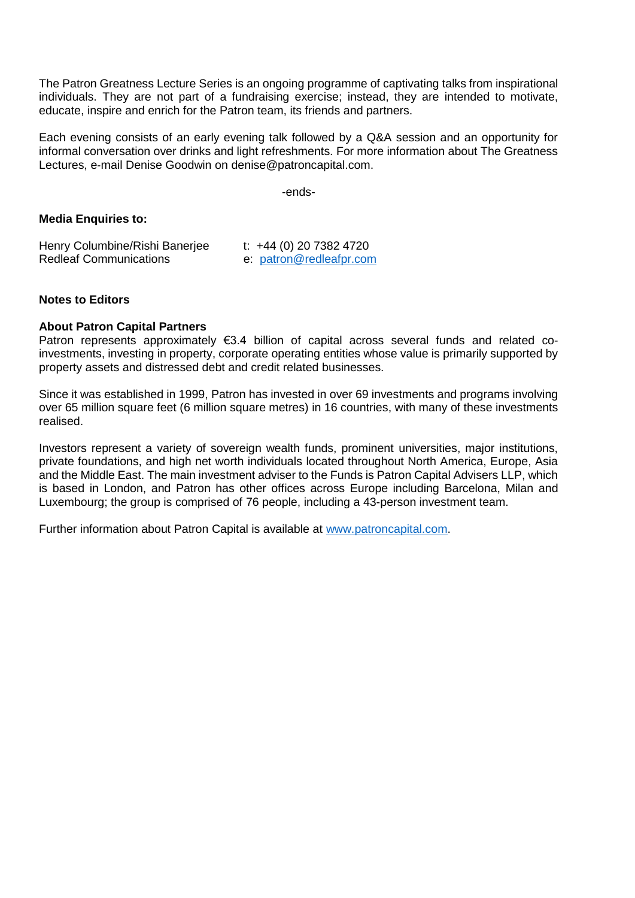The Patron Greatness Lecture Series is an ongoing programme of captivating talks from inspirational individuals. They are not part of a fundraising exercise; instead, they are intended to motivate, educate, inspire and enrich for the Patron team, its friends and partners.

Each evening consists of an early evening talk followed by a Q&A session and an opportunity for informal conversation over drinks and light refreshments. For more information about The Greatness Lectures, e-mail Denise Goodwin on denise@patroncapital.com.

-ends-

## **Media Enquiries to:**

| Henry Columbine/Rishi Banerjee | t: $+44$ (0) 20 7382 4720 |
|--------------------------------|---------------------------|
| <b>Redleaf Communications</b>  | e: patron@redleafpr.com   |

## **Notes to Editors**

## **About Patron Capital Partners**

Patron represents approximately  $\epsilon$ 3.4 billion of capital across several funds and related coinvestments, investing in property, corporate operating entities whose value is primarily supported by property assets and distressed debt and credit related businesses.

Since it was established in 1999, Patron has invested in over 69 investments and programs involving over 65 million square feet (6 million square metres) in 16 countries, with many of these investments realised.

Investors represent a variety of sovereign wealth funds, prominent universities, major institutions, private foundations, and high net worth individuals located throughout North America, Europe, Asia and the Middle East. The main investment adviser to the Funds is Patron Capital Advisers LLP, which is based in London, and Patron has other offices across Europe including Barcelona, Milan and Luxembourg; the group is comprised of 76 people, including a 43-person investment team.

Further information about Patron Capital is available at [www.patroncapital.com.](http://www.patroncapital.com/)